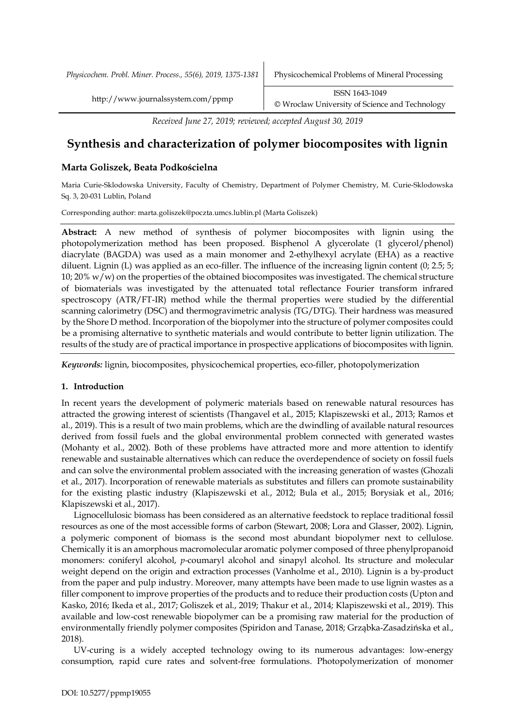*Physicochem. Probl. Miner. Process., 55(6), 2019, 1375-1381* Physicochemical Problems of Mineral Processing

*Received June 27, 2019; reviewed; accepted August 30, 2019*

# **Synthesis and characterization of polymer biocomposites with lignin**

# **Marta Goliszek, Beata Podkościelna**

Maria Curie-Sklodowska University, Faculty of Chemistry, Department of Polymer Chemistry, M. Curie-Sklodowska Sq. 3, 20-031 Lublin, Poland

Corresponding author: marta.goliszek@poczta.umcs.lublin.pl (Marta Goliszek)

**Abstract:** A new method of synthesis of polymer biocomposites with lignin using the photopolymerization method has been proposed. Bisphenol A glycerolate (1 glycerol/phenol) diacrylate (BAGDA) was used as a main monomer and 2-ethylhexyl acrylate (EHA) as a reactive diluent. Lignin (L) was applied as an eco-filler. The influence of the increasing lignin content (0; 2.5; 5; 10; 20% w/w) on the properties of the obtained biocomposites was investigated. The chemical structure of biomaterials was investigated by the attenuated total reflectance Fourier transform infrared spectroscopy (ATR/FT-IR) method while the thermal properties were studied by the differential scanning calorimetry (DSC) and thermogravimetric analysis (TG/DTG). Their hardness was measured by the Shore D method. Incorporation of the biopolymer into the structure of polymer composites could be a promising alternative to synthetic materials and would contribute to better lignin utilization. The results of the study are of practical importance in prospective applications of biocomposites with lignin.

*Keywords:* lignin, biocomposites, physicochemical properties, eco-filler, photopolymerization

# **1. Introduction**

In recent years the development of polymeric materials based on renewable natural resources has attracted the growing interest of scientists (Thangavel et al., 2015; Klapiszewski et al., 2013; Ramos et al., 2019). This is a result of two main problems, which are the dwindling of available natural resources derived from fossil fuels and the global environmental problem connected with generated wastes (Mohanty et al., 2002). Both of these problems have attracted more and more attention to identify renewable and sustainable alternatives which can reduce the overdependence of society on fossil fuels and can solve the environmental problem associated with the increasing generation of wastes (Ghozali et al., 2017). Incorporation of renewable materials as substitutes and fillers can promote sustainability for the existing plastic industry (Klapiszewski et al., 2012; Bula et al., 2015; Borysiak et al., 2016; Klapiszewski et al., 2017).

Lignocellulosic biomass has been considered as an alternative feedstock to replace traditional fossil resources as one of the most accessible forms of carbon (Stewart, 2008; Lora and Glasser, 2002). Lignin, a polymeric component of biomass is the second most abundant biopolymer next to cellulose. Chemically it is an amorphous macromolecular aromatic polymer composed of three phenylpropanoid monomers: coniferyl alcohol, *p-*coumaryl alcohol and sinapyl alcohol. Its structure and molecular weight depend on the origin and extraction processes (Vanholme et al., 2010). Lignin is a by-product from the paper and pulp industry. Moreover, many attempts have been made to use lignin wastes as a filler component to improve properties of the products and to reduce their production costs (Upton and Kasko, 2016; Ikeda et al., 2017; Goliszek et al., 2019; Thakur et al., 2014; Klapiszewski et al., 2019). This available and low-cost renewable biopolymer can be a promising raw material for the production of environmentally friendly polymer composites (Spiridon and Tanase, 2018; Grząbka-Zasadzińska et al., 2018).

UV-curing is a widely accepted technology owing to its numerous advantages: low-energy consumption, rapid cure rates and solvent-free formulations. Photopolymerization of monomer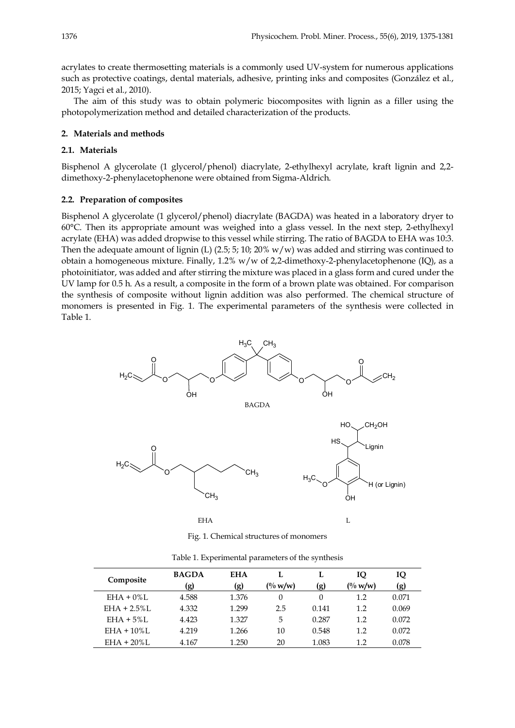acrylates to create thermosetting materials is a commonly used UV-system for numerous applications such as protective coatings, dental materials, adhesive, printing inks and composites (González et al., 2015; Yagci et al., 2010).

The aim of this study was to obtain polymeric biocomposites with lignin as a filler using the photopolymerization method and detailed characterization of the products.

#### **2. Materials and methods**

# **2.1. Materials**

Bisphenol A glycerolate (1 glycerol/phenol) diacrylate, 2-ethylhexyl acrylate, kraft lignin and 2,2 dimethoxy-2-phenylacetophenone were obtained from Sigma-Aldrich.

#### **2.2. Preparation of composites**

Bisphenol A glycerolate (1 glycerol/phenol) diacrylate (BAGDA) was heated in a laboratory dryer to 60°C. Then its appropriate amount was weighed into a glass vessel. In the next step, 2-ethylhexyl acrylate (EHA) was added dropwise to this vessel while stirring. The ratio of BAGDA to EHA was 10:3. Then the adequate amount of lignin (L) (2.5; 5; 10; 20% w/w) was added and stirring was continued to obtain a homogeneous mixture. Finally,  $1.2\%$  w/w of 2,2-dimethoxy-2-phenylacetophenone (IQ), as a photoinitiator, was added and after stirring the mixture was placed in a glass form and cured under the UV lamp for 0.5 h. As a result, a composite in the form of a brown plate was obtained. For comparison the synthesis of composite without lignin addition was also performed. The chemical structure of monomers is presented in Fig. 1. The experimental parameters of the synthesis were collected in Table 1.



Fig. 1. Chemical structures of monomers

| Composite       | <b>BAGDA</b> | <b>EHA</b> | L                    | L     | IQ         | IQ    |  |
|-----------------|--------------|------------|----------------------|-------|------------|-------|--|
|                 | (g)          | (g)        | $\frac{10}{10}$ w/w) | (g)   | $($ % w/w) | (g)   |  |
| $EHA + 0\%$ L   | 4.588        | 1.376      | $\Omega$             | 0     | 1.2        | 0.071 |  |
| $EHA + 2.5\%$ L | 4.332        | 1.299      | 2.5                  | 0.141 | 1.2        | 0.069 |  |
| $EHA + 5\%L$    | 4.423        | 1.327      | 5                    | 0.287 | 1.2        | 0.072 |  |
| $EHA + 10\%$ L  | 4.219        | 1.266      | 10                   | 0.548 | 1.2        | 0.072 |  |
| $EHA + 20\%$ L  | 4.167        | 1.250      | 20                   | 1.083 | 1.2        | 0.078 |  |

Table 1. Experimental parameters of the synthesis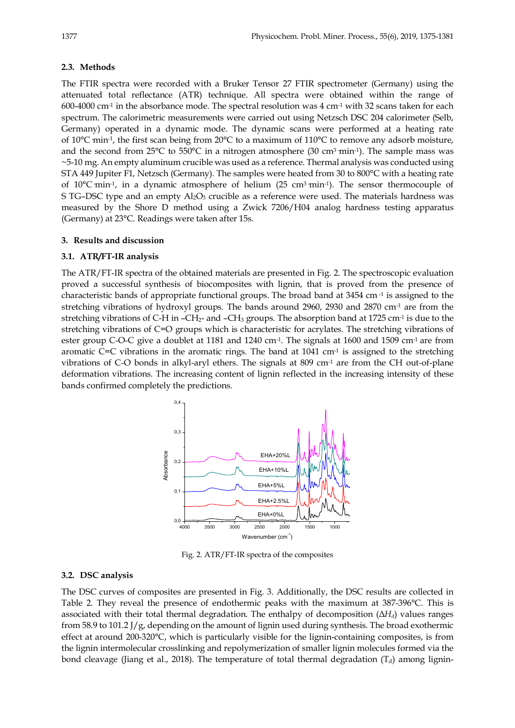# **2.3. Methods**

The FTIR spectra were recorded with a Bruker Tensor 27 FTIR spectrometer (Germany) using the attenuated total reflectance (ATR) technique. All spectra were obtained within the range of 600-4000 cm<sup>-1</sup> in the absorbance mode. The spectral resolution was  $4 \text{ cm}^{-1}$  with 32 scans taken for each spectrum. The calorimetric measurements were carried out using Netzsch DSC 204 calorimeter (Selb, Germany) operated in a dynamic mode. The dynamic scans were performed at a heating rate of 10 $^{\circ}$ C min<sup>-1</sup>, the first scan being from 20 $^{\circ}$ C to a maximum of 110 $^{\circ}$ C to remove any adsorb moisture, and the second from  $25^{\circ}$ C to  $550^{\circ}$ C in a nitrogen atmosphere (30 cm<sup>3</sup> min<sup>-1</sup>). The sample mass was ~5-10 mg. An empty aluminum crucible was used as a reference. Thermal analysis was conducted using STA 449 Jupiter F1, Netzsch (Germany). The samples were heated from 30 to 800°C with a heating rate of 10 $^{\circ}$ C min<sup>-1</sup>, in a dynamic atmosphere of helium (25 cm<sup>3</sup> min<sup>-1</sup>). The sensor thermocouple of S TG–DSC type and an empty  $\text{Al}_2\text{O}_3$  crucible as a reference were used. The materials hardness was measured by the Shore D method using a Zwick 7206/H04 analog hardness testing apparatus (Germany) at 23°C. Readings were taken after 15s.

# **3. Results and discussion**

#### **3.1. ATR/FT-IR analysis**

The ATR/FT-IR spectra of the obtained materials are presented in Fig. 2. The spectroscopic evaluation proved a successful synthesis of biocomposites with lignin, that is proved from the presence of characteristic bands of appropriate functional groups. The broad band at 3454 cm -1 is assigned to the stretching vibrations of hydroxyl groups. The bands around 2960, 2930 and 2870 cm-1 are from the stretching vibrations of C-H in -CH<sub>2</sub>- and -CH<sub>3</sub> groups. The absorption band at 1725 cm<sup>-1</sup> is due to the stretching vibrations of C=O groups which is characteristic for acrylates. The stretching vibrations of ester group C-O-C give a doublet at 1181 and 1240 cm-1. The signals at 1600 and 1509 cm-1 are from aromatic C=C vibrations in the aromatic rings. The band at  $1041 \text{ cm}^{-1}$  is assigned to the stretching vibrations of C-O bonds in alkyl-aryl ethers. The signals at  $809 \text{ cm}^{-1}$  are from the CH out-of-plane deformation vibrations. The increasing content of lignin reflected in the increasing intensity of these bands confirmed completely the predictions.



Fig. 2. ATR/FT-IR spectra of the composites

# **3.2. DSC analysis**

The DSC curves of composites are presented in Fig. 3. Additionally, the DSC results are collected in Table 2. They reveal the presence of endothermic peaks with the maximum at 387-396°C. This is associated with their total thermal degradation. The enthalpy of decomposition (Δ*Hd*) values ranges from 58.9 to 101.2 J/g, depending on the amount of lignin used during synthesis. The broad exothermic effect at around 200-320°C, which is particularly visible for the lignin-containing composites, is from the lignin intermolecular crosslinking and repolymerization of smaller lignin molecules formed via the bond cleavage (Jiang et al., 2018). The temperature of total thermal degradation  $(T_d)$  among lignin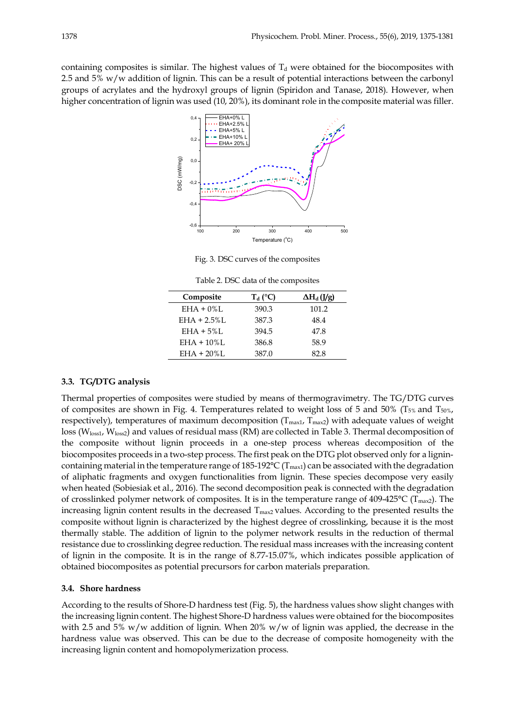containing composites is similar. The highest values of  $T<sub>d</sub>$  were obtained for the biocomposites with 2.5 and 5% w/w addition of lignin. This can be a result of potential interactions between the carbonyl groups of acrylates and the hydroxyl groups of lignin (Spiridon and Tanase, 2018). However, when higher concentration of lignin was used (10, 20%), its dominant role in the composite material was filler.



Fig. 3. DSC curves of the composites

Table 2. DSC data of the composites

| Composite      | $T_{d}$ (°C) | $\Delta H_d$ (J/g) |
|----------------|--------------|--------------------|
| $EHA + 0\%L$   | 390.3        | 101.2              |
| $EHA + 2.5\%L$ | 387.3        | 48.4               |
| $EHA + 5\%L$   | 394.5        | 47.8               |
| $EHA + 10\%$ L | 386.8        | 58.9               |
| $EHA + 20\%L$  | 387.0        | 82.8               |

# **3.3. TG/DTG analysis**

Thermal properties of composites were studied by means of thermogravimetry. The TG/DTG curves of composites are shown in Fig. 4. Temperatures related to weight loss of 5 and 50% ( $T_{5\%}$  and  $T_{50\%}$ ) respectively), temperatures of maximum decomposition ( $T_{max1}$ ,  $T_{max2}$ ) with adequate values of weight loss (W<sub>loss1</sub>, W<sub>loss2</sub>) and values of residual mass (RM) are collected in Table 3. Thermal decomposition of the composite without lignin proceeds in a one-step process whereas decomposition of the biocomposites proceeds in a two-step process. The first peak on the DTG plot observed only for a lignincontaining material in the temperature range of 185-192°C ( $T_{max1}$ ) can be associated with the degradation of aliphatic fragments and oxygen functionalities from lignin. These species decompose very easily when heated (Sobiesiak et al., 2016). The second decomposition peak is connected with the degradation of crosslinked polymer network of composites. It is in the temperature range of  $409-425^{\circ}C$  (T<sub>max2</sub>). The increasing lignin content results in the decreased  $T_{\text{max2}}$  values. According to the presented results the composite without lignin is characterized by the highest degree of crosslinking, because it is the most thermally stable. The addition of lignin to the polymer network results in the reduction of thermal resistance due to crosslinking degree reduction. The residual mass increases with the increasing content of lignin in the composite. It is in the range of 8.77-15.07%, which indicates possible application of obtained biocomposites as potential precursors for carbon materials preparation.

#### **3.4. Shore hardness**

According to the results of Shore-D hardness test (Fig. 5), the hardness values show slight changes with the increasing lignin content. The highest Shore-D hardness values were obtained for the biocomposites with 2.5 and 5%  $w/w$  addition of lignin. When 20%  $w/w$  of lignin was applied, the decrease in the hardness value was observed. This can be due to the decrease of composite homogeneity with the increasing lignin content and homopolymerization process.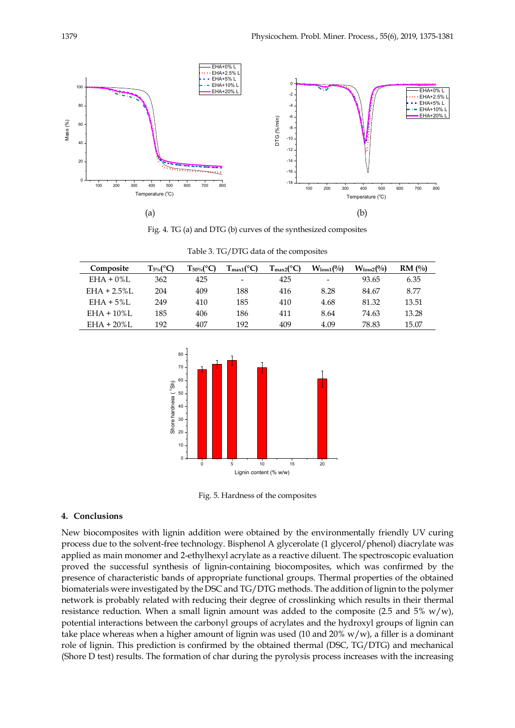

Fig. 4. TG (a) and DTG (b) curves of the synthesized composites

| Composite       | $T_{5\%}$ (°C) | $\Gamma_{50\%}$ (°C | $T_{max1}$ (°C) | $T_{\rm max2} (^{\circ}C)$ | $W_{loss1}(\%)$ | $W_{loss2}(\%)$ | RM(%) |
|-----------------|----------------|---------------------|-----------------|----------------------------|-----------------|-----------------|-------|
| $EHA + 0\%$ L   | 362            | 425                 | -               | 425                        | -               | 93.65           | 6.35  |
| $EHA + 2.5\%$ L | 204            | 409                 | 188             | 416                        | 8.28            | 84.67           | 8.77  |
| $EHA + 5\%L$    | 249            | 410                 | 185             | 410                        | 4.68            | 81.32           | 13.51 |
| $EHA + 10\%$ L  | 185            | 406                 | 186             | 411                        | 8.64            | 74.63           | 13.28 |
| $EHA + 20\%L$   | 192            | 407                 | 192             | 409                        | 4.09            | 78.83           | 15.07 |

Table 3. TG/DTG data of the composites



Fig. 5. Hardness of the composites

## **4. Conclusions**

New biocomposites with lignin addition were obtained by the environmentally friendly UV curing process due to the solvent-free technology. Bisphenol A glycerolate (1 glycerol/phenol) diacrylate was applied as main monomer and 2-ethylhexyl acrylate as a reactive diluent. The spectroscopic evaluation proved the successful synthesis of lignin-containing biocomposites, which was confirmed by the presence of characteristic bands of appropriate functional groups. Thermal properties of the obtained biomaterials were investigated by the DSC and TG/DTG methods. The addition of lignin to the polymer network is probably related with reducing their degree of crosslinking which results in their thermal resistance reduction. When a small lignin amount was added to the composite (2.5 and 5%  $w/w$ ), potential interactions between the carbonyl groups of acrylates and the hydroxyl groups of lignin can take place whereas when a higher amount of lignin was used (10 and  $20\%$  w/w), a filler is a dominant role of lignin. This prediction is confirmed by the obtained thermal (DSC, TG/DTG) and mechanical (Shore D test) results. The formation of char during the pyrolysis process increases with the increasing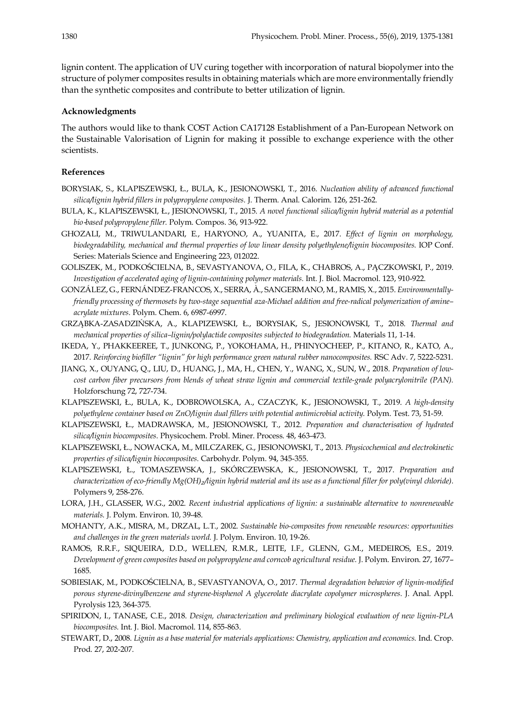lignin content. The application of UV curing together with incorporation of natural biopolymer into the structure of polymer composites results in obtaining materials which are more environmentally friendly than the synthetic composites and contribute to better utilization of lignin.

#### **Acknowledgments**

The authors would like to thank COST Action CA17128 Establishment of a Pan-European Network on the Sustainable Valorisation of Lignin for making it possible to exchange experience with the other scientists.

# **References**

- BORYSIAK, S., KLAPISZEWSKI, Ł., BULA, K., JESIONOWSKI, T., 2016. *Nucleation ability of advanced functional silica/lignin hybrid fillers in polypropylene composites.* J. Therm. Anal. Calorim. 126, 251-262.
- BULA, K., KLAPISZEWSKI, Ł., JESIONOWSKI, T., 2015. *A novel functional silica/lignin hybrid material as a potential bio*-*based polypropylene filler.* Polym. Compos. 36, 913-922.
- GHOZALI, M., TRIWULANDARI, E., HARYONO, A., YUANITA, E., 2017. *Effect of lignin on morphology, biodegradability, mechanical and thermal properties of low linear density polyethylene/lignin biocomposites.* IOP Conf. Series: Materials Science and Engineering 223, 012022.
- GOLISZEK, M., PODKOŚCIELNA, B., SEVASTYANOVA, O., FILA, K., CHABROS, A., PĄCZKOWSKI, P., 2019. *Investigation of accelerated aging of lignin-containing polymer materials.* Int. J. Biol. Macromol. 123, 910-922.
- GONZÁLEZ, G., FERNÁNDEZ-FRANCOS, X., SERRA, À., SANGERMANO, M., RAMIS, X., 2015. *Environmentallyfriendly processing of thermosets by two-stage sequential aza-Michael addition and free-radical polymerization of amine– acrylate mixtures.* Polym. Chem. 6, 6987-6997.
- GRZĄBKA-ZASADZIŃSKA, A., KLAPIZEWSKI, Ł., BORYSIAK, S., JESIONOWSKI, T., 2018. *Thermal and mechanical properties of silica–lignin/polylactide composites subjected to biodegradation.* Materials 11, 1-14.
- IKEDA, Y., PHAKKEEREE, T., JUNKONG, P., YOKOHAMA, H., PHINYOCHEEP, P., KITANO, R., KATO, A., 2017. *Reinforcing biofiller "lignin" for high performance green natural rubber nanocomposites.* RSC Adv. 7, 5222-5231.
- JIANG, X., OUYANG, Q., LIU, D., HUANG, J., MA, H., CHEN, Y., WANG, X., SUN, W., 2018. *Preparation of lowcost carbon fiber precursors from blends of wheat straw lignin and commercial textile-grade polyacrylonitrile (PAN).*  Holzforschung 72, 727-734.
- KLAPISZEWSKI, Ł., BULA, K., DOBROWOLSKA, A., CZACZYK, K., JESIONOWSKI, T., 2019. *A high-density polyethylene container based on ZnO/lignin dual fillers with potential antimicrobial activity.* Polym. Test. 73, 51-59.
- KLAPISZEWSKI, Ł., MADRAWSKA, M., JESIONOWSKI, T., 2012. *Preparation and characterisation of hydrated silica/lignin biocomposites.* Physicochem. Probl. Miner. Process. 48, 463-473.
- KLAPISZEWSKI, Ł., NOWACKA, M., MILCZAREK, G., JESIONOWSKI, T., 2013. *Physicochemical and electrokinetic properties of silica/lignin biocomposites.* Carbohydr. Polym. 94, 345-355.
- KLAPISZEWSKI, Ł., TOMASZEWSKA, J., SKÓRCZEWSKA, K., JESIONOWSKI, T., 2017. *Preparation and characterization of eco-friendly Mg(OH)* $_2$ /lignin hybrid material and its use as a functional filler for poly(vinyl chloride). Polymers 9, 258-276.
- LORA, J.H., GLASSER, W.G., 2002. *Recent industrial applications of lignin: a sustainable alternative to nonrenewable materials.* J. Polym. Environ. 10, 39-48.
- MOHANTY, A.K., MISRA, M., DRZAL, L.T., 2002. *Sustainable bio-composites from renewable resources: opportunities and challenges in the green materials world.* J. Polym. Environ. 10, 19-26.
- RAMOS, R.R.F., SIQUEIRA, D.D., WELLEN, R.M.R., LEITE, I.F., GLENN, G.M., MEDEIROS, E.S., 2019. *Development of green composites based on polypropylene and corncob agricultural residue.* J. Polym. Environ. 27, 1677– 1685.
- SOBIESIAK, M., PODKOŚCIELNA, B., SEVASTYANOVA, O., 2017. *Thermal degradation behavior of lignin-modified porous styrene-divinylbenzene and styrene-bisphenol A glycerolate diacrylate copolymer microspheres.* J. Anal. Appl. Pyrolysis 123, 364-375.
- SPIRIDON, I., TANASE, C.E., 2018. *Design, characterization and preliminary biological evaluation of new lignin-PLA biocomposites.* Int. J. Biol. Macromol. 114, 855-863.
- STEWART, D., 2008. *Lignin as a base material for materials applications: Chemistry, application and economics.* Ind. Crop. Prod. 27, 202-207.